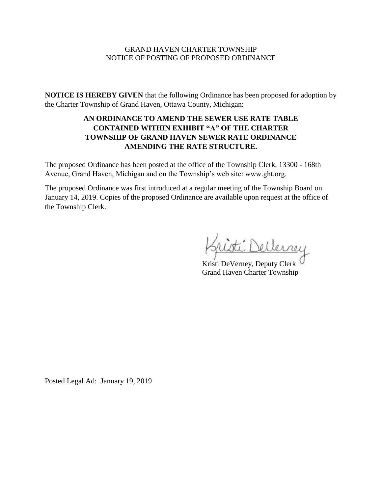### GRAND HAVEN CHARTER TOWNSHIP NOTICE OF POSTING OF PROPOSED ORDINANCE

**NOTICE IS HEREBY GIVEN** that the following Ordinance has been proposed for adoption by the Charter Township of Grand Haven, Ottawa County, Michigan:

## **AN ORDINANCE TO AMEND THE SEWER USE RATE TABLE CONTAINED WITHIN EXHIBIT "A" OF THE CHARTER TOWNSHIP OF GRAND HAVEN SEWER RATE ORDINANCE AMENDING THE RATE STRUCTURE.**

The proposed Ordinance has been posted at the office of the Township Clerk, 13300 - 168th Avenue, Grand Haven, Michigan and on the Township's web site: www.ght.org.

The proposed Ordinance was first introduced at a regular meeting of the Township Board on January 14, 2019. Copies of the proposed Ordinance are available upon request at the office of the Township Clerk.

: Nellerney

Kristi DeVerney, Deputy Clerk Grand Haven Charter Township

Posted Legal Ad: January 19, 2019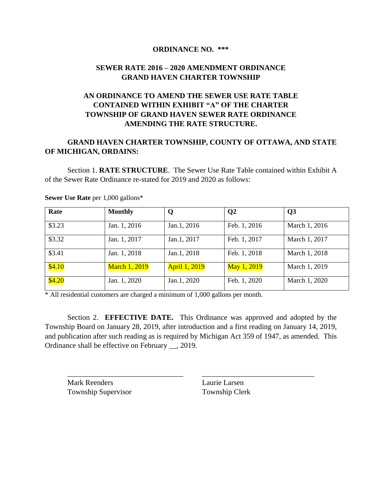#### **ORDINANCE NO. \*\*\***

## **SEWER RATE 2016 – 2020 AMENDMENT ORDINANCE GRAND HAVEN CHARTER TOWNSHIP**

# **AN ORDINANCE TO AMEND THE SEWER USE RATE TABLE CONTAINED WITHIN EXHIBIT "A" OF THE CHARTER TOWNSHIP OF GRAND HAVEN SEWER RATE ORDINANCE AMENDING THE RATE STRUCTURE.**

## **GRAND HAVEN CHARTER TOWNSHIP, COUNTY OF OTTAWA, AND STATE OF MICHIGAN, ORDAINS:**

Section 1. **RATE STRUCTURE**. The Sewer Use Rate Table contained within Exhibit A of the Sewer Rate Ordinance re-stated for 2019 and 2020 as follows:

| Rate   | <b>Monthly</b>       | Q                    | $\mathbf{Q}$ | Q3            |
|--------|----------------------|----------------------|--------------|---------------|
| \$3.23 | Jan. 1, 2016         | Jan.1, 2016          | Feb. 1, 2016 | March 1, 2016 |
| \$3.32 | Jan. 1, 2017         | Jan.1, 2017          | Feb. 1, 2017 | March 1, 2017 |
| \$3.41 | Jan. 1, 2018         | Jan.1, 2018          | Feb. 1, 2018 | March 1, 2018 |
| \$4.10 | <b>March 1, 2019</b> | <b>April 1, 2019</b> | May 1, 2019  | March 1, 2019 |
| \$4.20 | Jan. 1, 2020         | Jan.1, 2020          | Feb. 1, 2020 | March 1, 2020 |

**Sewer Use Rate** per 1,000 gallons\*

\* All residential customers are charged a minimum of 1,000 gallons per month.

Section 2. **EFFECTIVE DATE.** This Ordinance was approved and adopted by the Township Board on January 28, 2019, after introduction and a first reading on January 14, 2019, and publication after such reading as is required by Michigan Act 359 of 1947, as amended. This Ordinance shall be effective on February \_\_, 2019.

\_\_\_\_\_\_\_\_\_\_\_\_\_\_\_\_\_\_\_\_\_\_\_\_\_\_\_\_\_\_\_ \_\_\_\_\_\_\_\_\_\_\_\_\_\_\_\_\_\_\_\_\_\_\_\_\_\_\_\_\_\_

Mark Reenders **Laurie Larsen** Township Supervisor Township Clerk